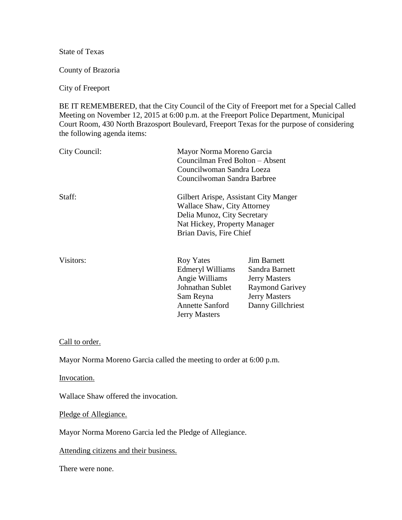State of Texas

County of Brazoria

City of Freeport

BE IT REMEMBERED, that the City Council of the City of Freeport met for a Special Called Meeting on November 12, 2015 at 6:00 p.m. at the Freeport Police Department, Municipal Court Room, 430 North Brazosport Boulevard, Freeport Texas for the purpose of considering the following agenda items:

| City Council: |                                                                                                                                                                | Mayor Norma Moreno Garcia<br>Councilman Fred Bolton – Absent<br>Councilwoman Sandra Loeza<br>Councilwoman Sandra Barbree |  |
|---------------|----------------------------------------------------------------------------------------------------------------------------------------------------------------|--------------------------------------------------------------------------------------------------------------------------|--|
| Staff:        | Gilbert Arispe, Assistant City Manger<br>Wallace Shaw, City Attorney<br>Delia Munoz, City Secretary<br>Nat Hickey, Property Manager<br>Brian Davis, Fire Chief |                                                                                                                          |  |
| Visitors:     | <b>Roy Yates</b>                                                                                                                                               | <b>Jim Barnett</b>                                                                                                       |  |

| Visitors: | Roy Yates               | <b>Jim Barnett</b>     |
|-----------|-------------------------|------------------------|
|           | <b>Edmeryl Williams</b> | Sandra Barnett         |
|           | Angie Williams          | <b>Jerry Masters</b>   |
|           | Johnathan Sublet        | <b>Raymond Garivey</b> |
|           | Sam Reyna               | <b>Jerry Masters</b>   |
|           | <b>Annette Sanford</b>  | Danny Gillchriest      |
|           | <b>Jerry Masters</b>    |                        |

Call to order.

Mayor Norma Moreno Garcia called the meeting to order at 6:00 p.m.

Invocation.

Wallace Shaw offered the invocation.

Pledge of Allegiance.

Mayor Norma Moreno Garcia led the Pledge of Allegiance.

Attending citizens and their business.

There were none.